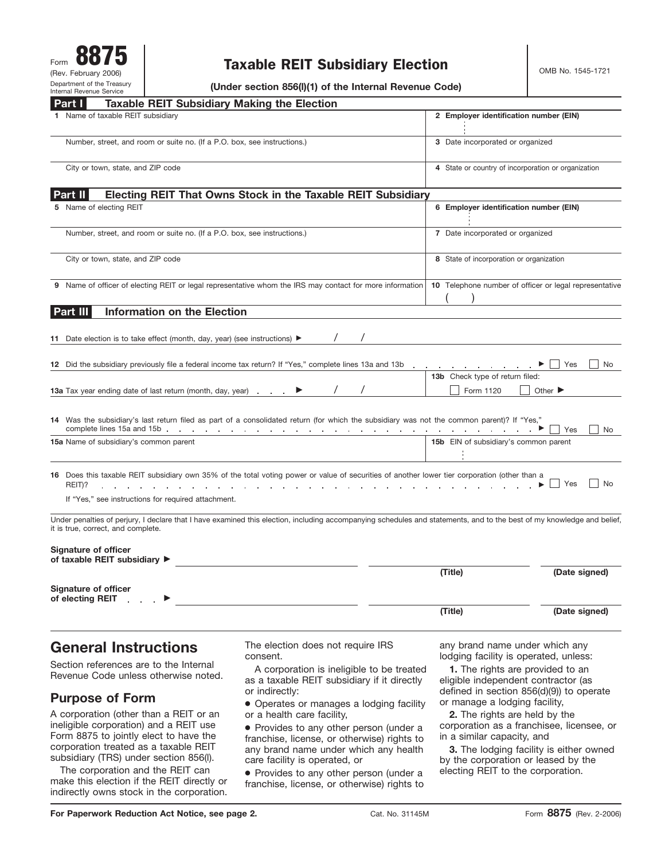# Taxable REIT Subsidiary Election  $\Big|$  OMB No. 1545-1721

**(Under section 856(l)(1) of the Internal Revenue Code)**

| <b>Taxable REIT Subsidiary Making the Election</b><br>Part I                                                              |                                                                                                                                                                        |                                                                                                                    |               |
|---------------------------------------------------------------------------------------------------------------------------|------------------------------------------------------------------------------------------------------------------------------------------------------------------------|--------------------------------------------------------------------------------------------------------------------|---------------|
| 1 Name of taxable REIT subsidiary                                                                                         |                                                                                                                                                                        | 2 Employer identification number (EIN)                                                                             |               |
| Number, street, and room or suite no. (If a P.O. box, see instructions.)                                                  |                                                                                                                                                                        | 3 Date incorporated or organized                                                                                   |               |
| City or town, state, and ZIP code                                                                                         |                                                                                                                                                                        | 4 State or country of incorporation or organization                                                                |               |
| Part II l                                                                                                                 | <b>Electing REIT That Owns Stock in the Taxable REIT Subsidiary</b>                                                                                                    |                                                                                                                    |               |
| 5 Name of electing REIT                                                                                                   |                                                                                                                                                                        | 6 Employer identification number (EIN)                                                                             |               |
| Number, street, and room or suite no. (If a P.O. box, see instructions.)                                                  |                                                                                                                                                                        | 7 Date incorporated or organized                                                                                   |               |
| City or town, state, and ZIP code                                                                                         |                                                                                                                                                                        | 8 State of incorporation or organization                                                                           |               |
|                                                                                                                           | 9 Name of officer of electing REIT or legal representative whom the IRS may contact for more information                                                               | 10 Telephone number of officer or legal representative                                                             |               |
| <b>Information on the Election</b><br>Part III                                                                            |                                                                                                                                                                        |                                                                                                                    |               |
| 11 Date election is to take effect (month, day, year) (see instructions) $\blacktriangleright$                            |                                                                                                                                                                        |                                                                                                                    |               |
| 12 Did the subsidiary previously file a federal income tax return? If "Yes," complete lines 13a and 13b                   |                                                                                                                                                                        |                                                                                                                    | Yes<br>No     |
| <b>13a</b> Tax year ending date of last return (month, day, year)                                                         |                                                                                                                                                                        | 13b Check type of return filed:<br>Form 1120<br>Other $\blacktriangleright$                                        |               |
|                                                                                                                           | 14 Was the subsidiary's last return filed as part of a consolidated return (for which the subsidiary was not the common parent)? If "Yes,"                             |                                                                                                                    | Yes<br>No     |
| 15a Name of subsidiary's common parent                                                                                    |                                                                                                                                                                        | 15b EIN of subsidiary's common parent                                                                              |               |
| the contract of the contract of the contract of the contract of the contract of the contract of the contract of<br>REIT)? | 16 Does this taxable REIT subsidiary own 35% of the total voting power or value of securities of another lower tier corporation (other than a                          | the contract of the contract of the contract of the contract of the contract of the contract of the contract of    | Yes<br>No     |
| If "Yes," see instructions for required attachment.                                                                       |                                                                                                                                                                        |                                                                                                                    |               |
| it is true, correct, and complete.                                                                                        | Under penalties of perjury, I declare that I have examined this election, including accompanying schedules and statements, and to the best of my knowledge and belief, |                                                                                                                    |               |
| <b>Signature of officer</b><br>of taxable REIT subsidiary ▶                                                               |                                                                                                                                                                        |                                                                                                                    |               |
|                                                                                                                           |                                                                                                                                                                        | (Title)                                                                                                            | (Date signed) |
| <b>Signature of officer</b><br>of electing REIT                                                                           |                                                                                                                                                                        |                                                                                                                    |               |
|                                                                                                                           |                                                                                                                                                                        | (Title)                                                                                                            | (Date signed) |
| <b>General Instructions</b>                                                                                               | The election does not require IRS                                                                                                                                      | any brand name under which any<br>lodging facility is operated, unless:<br><b>1.</b> The rights are provided to an |               |
| Section references are to the Internal<br>Revenue Code unless otherwise noted.                                            | consent.<br>A corporation is ineligible to be treated                                                                                                                  |                                                                                                                    |               |
| <b>Purpose of Form</b>                                                                                                    | as a taxable REIT subsidiary if it directly<br>or indirectly:<br>• Operates or manages a lodging facility                                                              | eligible independent contractor (as<br>defined in section 856(d)(9)) to operate<br>or manage a lodging facility,   |               |

**2.** The rights are held by the corporation as a franchisee, licensee, or in a similar capacity, and

**3.** The lodging facility is either owned by the corporation or leased by the electing REIT to the corporation.

## **Purpose of Form**

A corporation (other than a REIT or an ineligible corporation) and a REIT use Form 8875 to jointly elect to have the corporation treated as a taxable REIT subsidiary (TRS) under section 856(l).

The corporation and the REIT can make this election if the REIT directly or indirectly owns stock in the corporation.

● Operates or manages a lodging facility or a health care facility,

● Provides to any other person (under a franchise, license, or otherwise) rights to any brand name under which any health care facility is operated, or

● Provides to any other person (under a franchise, license, or otherwise) rights to

**For Paperwork Reduction Act Notice, see page 2.**